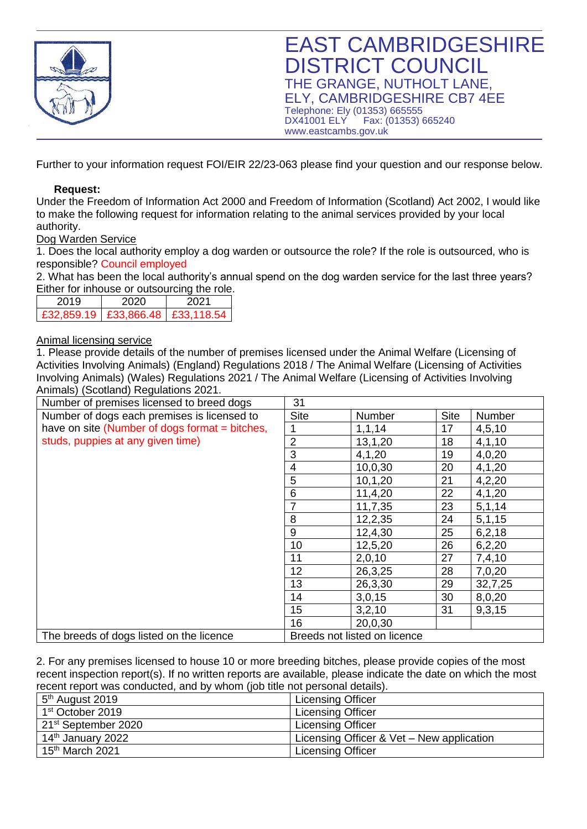

Further to your information request FOI/EIR 22/23-063 please find your question and our response below.

## **Request:**

Under the Freedom of Information Act 2000 and Freedom of Information (Scotland) Act 2002, I would like to make the following request for information relating to the animal services provided by your local authority.

## Dog Warden Service

1. Does the local authority employ a dog warden or outsource the role? If the role is outsourced, who is responsible? Council employed

2. What has been the local authority's annual spend on the dog warden service for the last three years? Either for inhouse or outsourcing the role.

| 2019       | 2020                      | 202 <sub>1</sub> |
|------------|---------------------------|------------------|
| £32,859.19 | $E33.866.48$ $E33.118.54$ |                  |

## Animal licensing service

1. Please provide details of the number of premises licensed under the Animal Welfare (Licensing of Activities Involving Animals) (England) Regulations 2018 / The Animal Welfare (Licensing of Activities Involving Animals) (Wales) Regulations 2021 / The Animal Welfare (Licensing of Activities Involving Animals) (Scotland) Regulations 2021.

| Number of premises licensed to breed dogs      | 31             |                              |             |          |
|------------------------------------------------|----------------|------------------------------|-------------|----------|
| Number of dogs each premises is licensed to    | <b>Site</b>    | Number                       | <b>Site</b> | Number   |
| have on site (Number of dogs format = bitches, |                | 1,1,14                       | 17          | 4,5,10   |
| studs, puppies at any given time)              | $\overline{2}$ | 13,1,20                      | 18          | 4,1,10   |
|                                                | 3              | 4,1,20                       | 19          | 4,0,20   |
|                                                | 4              | 10,0,30                      | 20          | 4,1,20   |
|                                                | 5              | 10,1,20                      | 21          | 4,2,20   |
|                                                | 6              | 11,4,20                      | 22          | 4,1,20   |
|                                                | 7              | 11,7,35                      | 23          | 5, 1, 14 |
|                                                | 8              | 12,2,35                      | 24          | 5,1,15   |
|                                                | 9              | 12,4,30                      | 25          | 6, 2, 18 |
|                                                | 10             | 12,5,20                      | 26          | 6,2,20   |
|                                                | 11             | 2,0,10                       | 27          | 7,4,10   |
|                                                | 12             | 26,3,25                      | 28          | 7,0,20   |
|                                                | 13             | 26,3,30                      | 29          | 32,7,25  |
|                                                | 14             | 3,0,15                       | 30          | 8,0,20   |
|                                                | 15             | 3,2,10                       | 31          | 9,3,15   |
|                                                | 16             | 20,0,30                      |             |          |
| The breeds of dogs listed on the licence       |                | Breeds not listed on licence |             |          |

2. For any premises licensed to house 10 or more breeding bitches, please provide copies of the most recent inspection report(s). If no written reports are available, please indicate the date on which the most recent report was conducted, and by whom (job title not personal details).

| TCCCITETCPOIL WAS CONGUCICA, AND DY WHOM HOD HIG HOL PCTSONAL UCLAINS). |                                           |  |
|-------------------------------------------------------------------------|-------------------------------------------|--|
| 5 <sup>th</sup> August 2019                                             | <b>Licensing Officer</b>                  |  |
| 1 <sup>st</sup> October 2019                                            | <b>Licensing Officer</b>                  |  |
| 21 <sup>st</sup> September 2020                                         | <b>Licensing Officer</b>                  |  |
| 14 <sup>th</sup> January 2022                                           | Licensing Officer & Vet – New application |  |
| 15 <sup>th</sup> March 2021                                             | <b>Licensing Officer</b>                  |  |